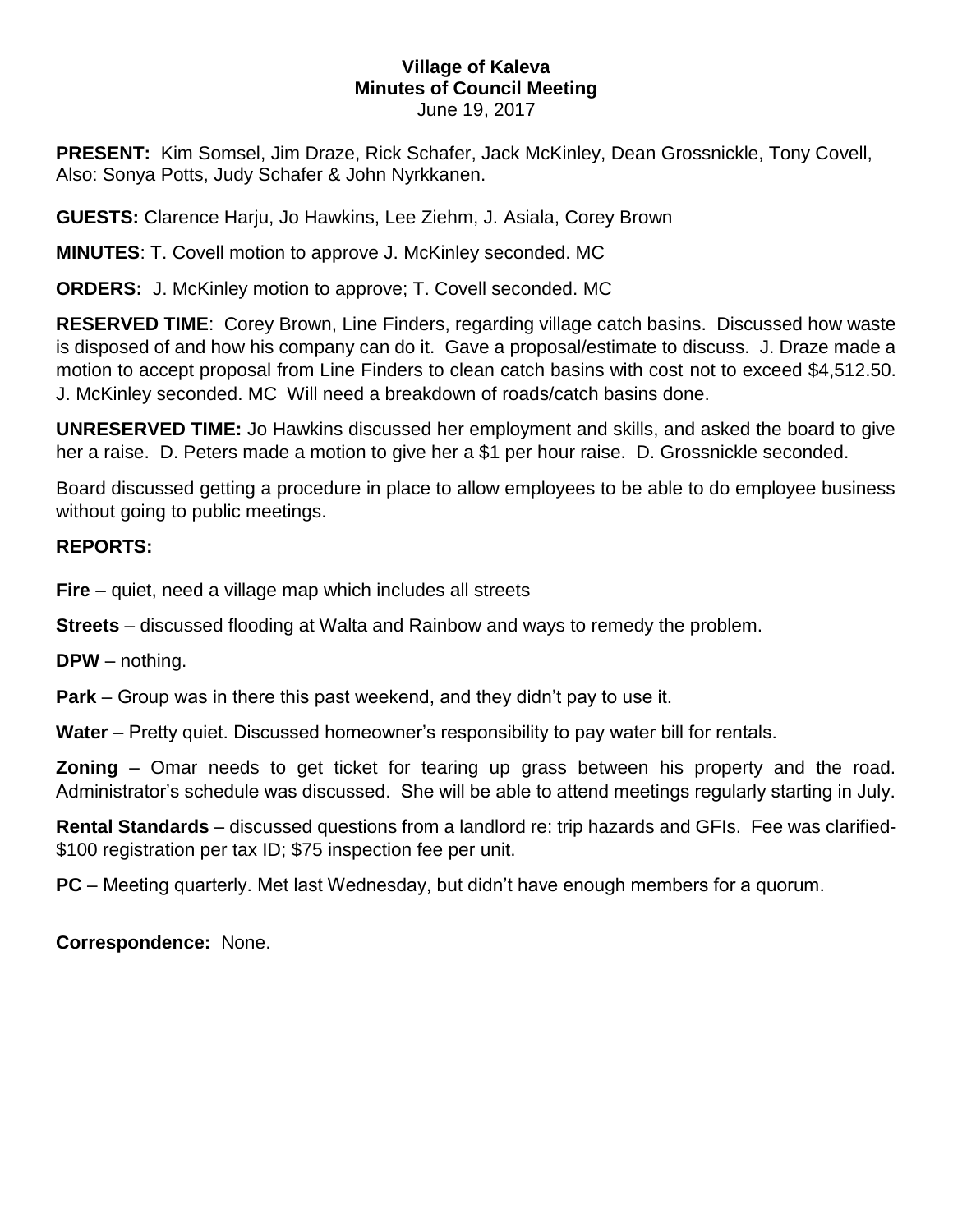## **Village of Kaleva Minutes of Council Meeting** June 19, 2017

**PRESENT:** Kim Somsel, Jim Draze, Rick Schafer, Jack McKinley, Dean Grossnickle, Tony Covell, Also: Sonya Potts, Judy Schafer & John Nyrkkanen.

**GUESTS:** Clarence Harju, Jo Hawkins, Lee Ziehm, J. Asiala, Corey Brown

**MINUTES**: T. Covell motion to approve J. McKinley seconded. MC

**ORDERS:** J. McKinley motion to approve; T. Covell seconded. MC

**RESERVED TIME**: Corey Brown, Line Finders, regarding village catch basins. Discussed how waste is disposed of and how his company can do it. Gave a proposal/estimate to discuss. J. Draze made a motion to accept proposal from Line Finders to clean catch basins with cost not to exceed \$4,512.50. J. McKinley seconded. MC Will need a breakdown of roads/catch basins done.

**UNRESERVED TIME:** Jo Hawkins discussed her employment and skills, and asked the board to give her a raise. D. Peters made a motion to give her a \$1 per hour raise. D. Grossnickle seconded.

Board discussed getting a procedure in place to allow employees to be able to do employee business without going to public meetings.

## **REPORTS:**

**Fire** – quiet, need a village map which includes all streets

**Streets** – discussed flooding at Walta and Rainbow and ways to remedy the problem.

**DPW** – nothing.

**Park** – Group was in there this past weekend, and they didn't pay to use it.

**Water** – Pretty quiet. Discussed homeowner's responsibility to pay water bill for rentals.

**Zoning** – Omar needs to get ticket for tearing up grass between his property and the road. Administrator's schedule was discussed. She will be able to attend meetings regularly starting in July.

**Rental Standards** – discussed questions from a landlord re: trip hazards and GFIs. Fee was clarified- \$100 registration per tax ID; \$75 inspection fee per unit.

**PC** – Meeting quarterly. Met last Wednesday, but didn't have enough members for a quorum.

**Correspondence:** None.